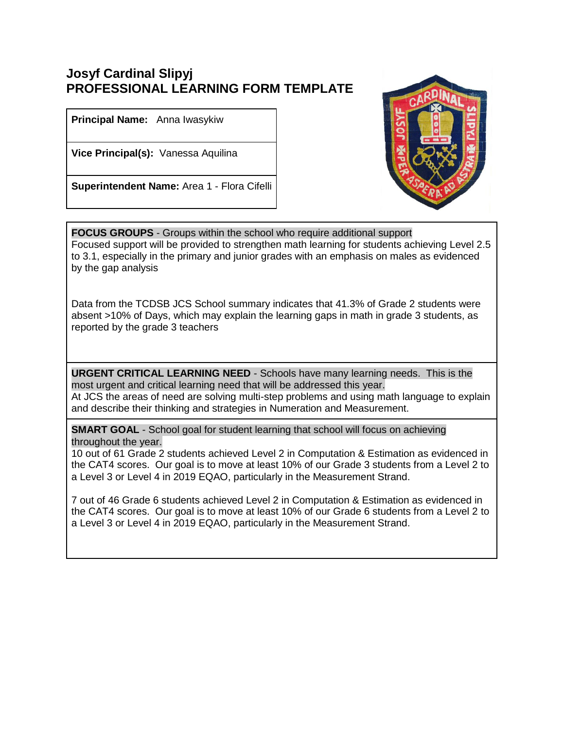## **Josyf Cardinal Slipyj PROFESSIONAL LEARNING FORM TEMPLATE**

**Principal Name:** Anna Iwasykiw

**Vice Principal(s):** Vanessa Aquilina

**Superintendent Name:** Area 1 - Flora Cifelli



**FOCUS GROUPS** - Groups within the school who require additional support Focused support will be provided to strengthen math learning for students achieving Level 2.5 to 3.1, especially in the primary and junior grades with an emphasis on males as evidenced by the gap analysis

Data from the TCDSB JCS School summary indicates that 41.3% of Grade 2 students were absent >10% of Days, which may explain the learning gaps in math in grade 3 students, as reported by the grade 3 teachers

**URGENT CRITICAL LEARNING NEED** - Schools have many learning needs. This is the most urgent and critical learning need that will be addressed this year. At JCS the areas of need are solving multi-step problems and using math language to explain and describe their thinking and strategies in Numeration and Measurement.

**SMART GOAL** - School goal for student learning that school will focus on achieving throughout the year.

10 out of 61 Grade 2 students achieved Level 2 in Computation & Estimation as evidenced in the CAT4 scores. Our goal is to move at least 10% of our Grade 3 students from a Level 2 to a Level 3 or Level 4 in 2019 EQAO, particularly in the Measurement Strand.

7 out of 46 Grade 6 students achieved Level 2 in Computation & Estimation as evidenced in the CAT4 scores. Our goal is to move at least 10% of our Grade 6 students from a Level 2 to a Level 3 or Level 4 in 2019 EQAO, particularly in the Measurement Strand.